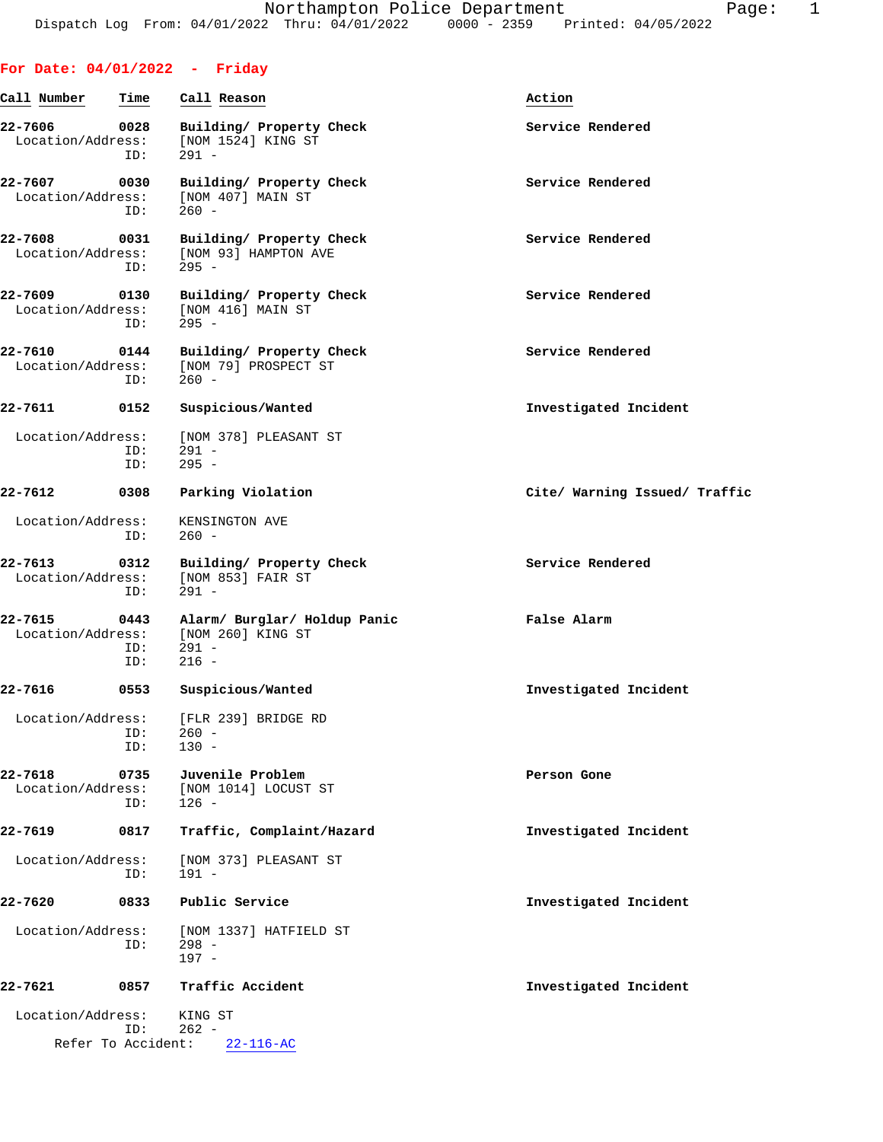| Call Number                             | Time               | Call Reason                                                             | Action                        |
|-----------------------------------------|--------------------|-------------------------------------------------------------------------|-------------------------------|
| 22-7606<br>Location/Address:            | 0028<br>ID:        | Building/ Property Check<br>[NOM 1524] KING ST<br>$291 -$               | Service Rendered              |
| 22-7607<br>Location/Address:            | 0030<br>ID:        | Building/ Property Check<br>[NOM 407] MAIN ST<br>$260 -$                | Service Rendered              |
| 22-7608<br>Location/Address:            | 0031<br>ID:        | Building/ Property Check<br>[NOM 93] HAMPTON AVE<br>$295 -$             | Service Rendered              |
| 22-7609<br>Location/Address:            | 0130<br>ID:        | Building/ Property Check<br>[NOM 416] MAIN ST<br>$295 -$                | Service Rendered              |
| 22-7610<br>Location/Address:            | 0144<br>ID:        | Building/ Property Check<br>[NOM 79] PROSPECT ST<br>$260 -$             | Service Rendered              |
| 22-7611                                 | 0152               | Suspicious/Wanted                                                       | Investigated Incident         |
| Location/Address:                       | ID:<br>ID:         | [NOM 378] PLEASANT ST<br>$291 -$<br>$295 -$                             |                               |
| 22-7612                                 | 0308               | Parking Violation                                                       | Cite/ Warning Issued/ Traffic |
| Location/Address:                       | ID:                | KENSINGTON AVE<br>$260 -$                                               |                               |
| 22-7613<br>Location/Address:            | 0312<br>ID:        | Building/ Property Check<br>[NOM 853] FAIR ST<br>$291 -$                | Service Rendered              |
| 22-7615<br>Location/Address:            | 0443<br>ID:<br>ID: | Alarm/ Burglar/ Holdup Panic<br>[NOM 260] KING ST<br>$291 -$<br>$216 -$ | False Alarm                   |
| 22-7616                                 | 0553               | Suspicious/Wanted                                                       | Investigated Incident         |
| Location/Address:                       | ID:<br>ID:         | [FLR 239] BRIDGE RD<br>260 -<br>$130 -$                                 |                               |
| 22-7618<br>Location/Address:            | 0735<br>ID:        | Juvenile Problem<br>[NOM 1014] LOCUST ST<br>$126 -$                     | Person Gone                   |
| 22-7619                                 | 0817               | Traffic, Complaint/Hazard                                               | Investigated Incident         |
| Location/Address:                       | ID:                | [NOM 373] PLEASANT ST<br>$191 -$                                        |                               |
| 22-7620                                 | 0833               | Public Service                                                          | Investigated Incident         |
| Location/Address:                       | ID:                | [NOM 1337] HATFIELD ST<br>$298 -$<br>$197 -$                            |                               |
| 22-7621                                 | 0857               | Traffic Accident                                                        | Investigated Incident         |
| Location/Address:<br>Refer To Accident: | ID:                | KING ST<br>$262 -$<br>$22 - 116 - AC$                                   |                               |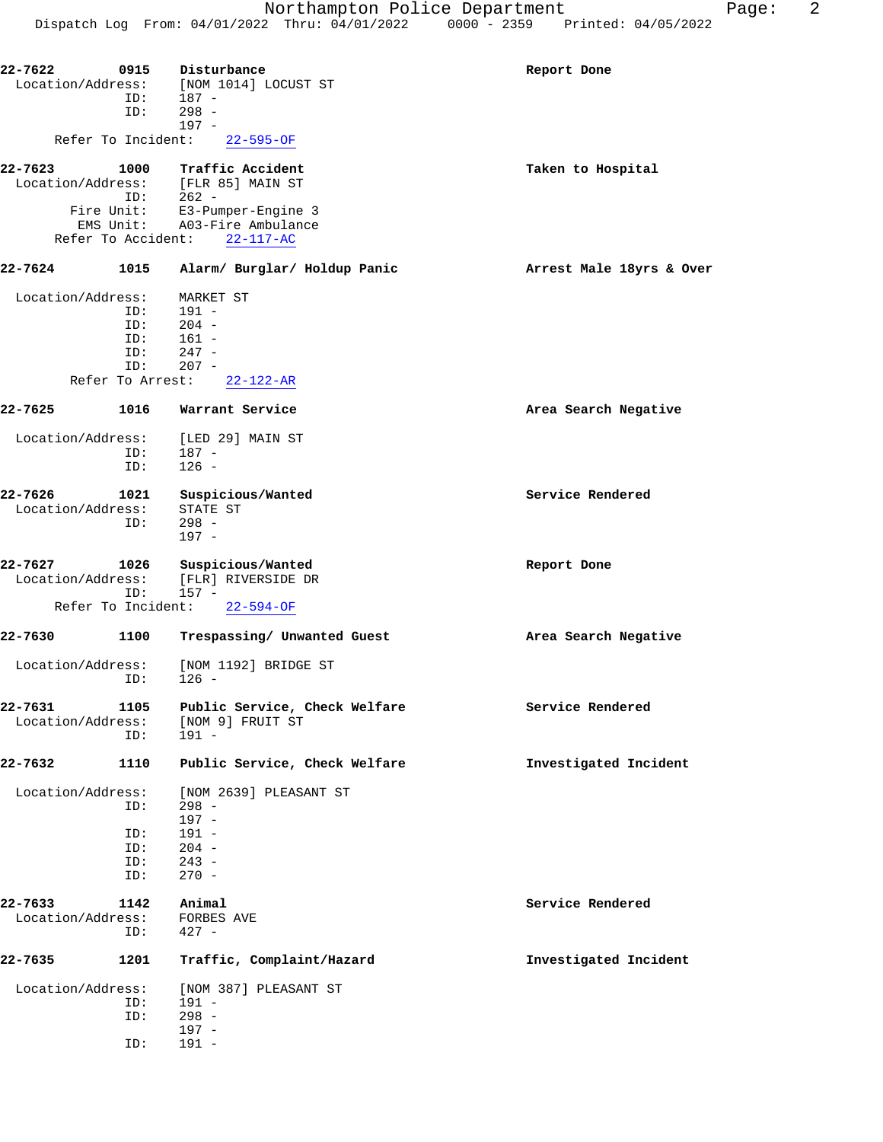| 22-7622                      | 0915               | Disturbance<br>Location/Address: [NOM 1014] LOCUST ST                                                                        | Report Done              |
|------------------------------|--------------------|------------------------------------------------------------------------------------------------------------------------------|--------------------------|
|                              | ID:<br>ID:         | 187 -<br>$298 -$<br>$197 -$                                                                                                  |                          |
|                              | Refer To Incident: | $22 - 595 - OF$                                                                                                              |                          |
| 22-7623                      | 1000               | Traffic Accident<br>$\begin{tabular}{ll} \texttt{Location/Address:} & [FLR 85] MAN ST \\ \texttt{ID:} & 262 - \end{tabular}$ | Taken to Hospital        |
|                              |                    | Fire Unit: E3-Pumper-Engine 3<br>EMS Unit: A03-Fire Ambulance                                                                |                          |
|                              | Refer To Accident: | $22 - 117 - AC$                                                                                                              |                          |
| 22-7624                      | 1015               | Alarm/ Burglar/ Holdup Panic                                                                                                 | Arrest Male 18yrs & Over |
| Location/Address:            |                    | MARKET ST                                                                                                                    |                          |
|                              | ID:                | $191 -$                                                                                                                      |                          |
|                              | ID:<br>ID:         | $204 -$<br>$161 -$                                                                                                           |                          |
|                              | ID:                | $247 -$                                                                                                                      |                          |
|                              | ID:                | $207 -$                                                                                                                      |                          |
|                              | Refer To Arrest:   | $22 - 122 - AR$                                                                                                              |                          |
| 22-7625                      | 1016               | Warrant Service                                                                                                              | Area Search Negative     |
|                              |                    | Location/Address: [LED 29] MAIN ST                                                                                           |                          |
|                              | ID:<br>ID:         | $187 -$<br>$126 -$                                                                                                           |                          |
|                              |                    |                                                                                                                              |                          |
| 22-7626                      | 1021               | Suspicious/Wanted                                                                                                            | Service Rendered         |
| Location/Address:            |                    | STATE ST                                                                                                                     |                          |
|                              | ID:                | $298 -$<br>$197 -$                                                                                                           |                          |
|                              |                    |                                                                                                                              |                          |
| 22-7627<br>Location/Address: | 1026               | Suspicious/Wanted                                                                                                            | Report Done              |
|                              | ID:                | [FLR] RIVERSIDE DR<br>$157 -$                                                                                                |                          |
|                              | Refer To Incident: | $22 - 594 - OF$                                                                                                              |                          |
| 22-7630                      | 1100               | Trespassing/ Unwanted Guest                                                                                                  | Area Search Negative     |
| Location/Address:            |                    | [NOM 1192] BRIDGE ST                                                                                                         |                          |
|                              | ID:                | $126 -$                                                                                                                      |                          |
| 22-7631                      | 1105               | Public Service, Check Welfare                                                                                                | Service Rendered         |
| Location/Address:            |                    | [NOM 9] FRUIT ST                                                                                                             |                          |
|                              | ID:                | $191 -$                                                                                                                      |                          |
| 22-7632                      | 1110               | Public Service, Check Welfare                                                                                                | Investigated Incident    |
| Location/Address:            |                    | [NOM 2639] PLEASANT ST                                                                                                       |                          |
|                              | ID:                | $298 -$                                                                                                                      |                          |
|                              |                    | $197 -$<br>$191 -$                                                                                                           |                          |
|                              | ID:<br>ID:         | $204 -$                                                                                                                      |                          |
|                              | ID:                | $243 -$                                                                                                                      |                          |
|                              | ID:                | $270 -$                                                                                                                      |                          |
| 22-7633                      | 1142               | Animal                                                                                                                       | Service Rendered         |
| Location/Address:            |                    | FORBES AVE                                                                                                                   |                          |
|                              | ID:                | $427 -$                                                                                                                      |                          |
| 22-7635                      | 1201               | Traffic, Complaint/Hazard                                                                                                    | Investigated Incident    |
| Location/Address:            |                    | [NOM 387] PLEASANT ST                                                                                                        |                          |
|                              | ID:                | $191 -$                                                                                                                      |                          |
|                              | ID:                | $298 -$                                                                                                                      |                          |
|                              | ID:                | $197 -$<br>$191 -$                                                                                                           |                          |
|                              |                    |                                                                                                                              |                          |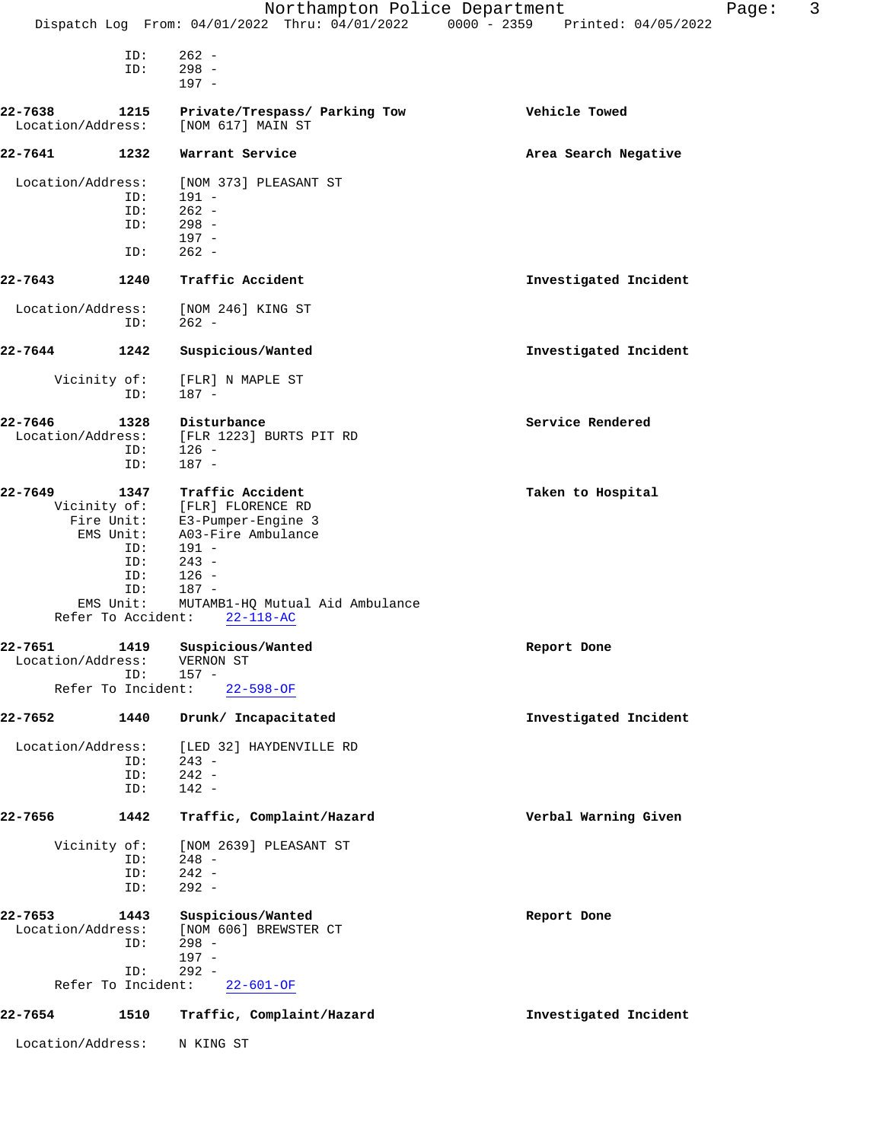|                              |                                 | Northampton Police Department<br>Dispatch Log From: 04/01/2022 Thru: 04/01/2022 0000 - 2359 Printed: 04/05/2022 |                       | Page: | 3 |
|------------------------------|---------------------------------|-----------------------------------------------------------------------------------------------------------------|-----------------------|-------|---|
|                              |                                 |                                                                                                                 |                       |       |   |
|                              | ID:<br>ID:                      | $262 -$<br>$298 -$<br>$197 -$                                                                                   |                       |       |   |
| 22-7638<br>Location/Address: | 1215                            | Private/Trespass/ Parking Tow<br>[NOM 617] MAIN ST                                                              | Vehicle Towed         |       |   |
| 22-7641                      | 1232                            | Warrant Service                                                                                                 | Area Search Negative  |       |   |
| Location/Address:            | ID:                             | [NOM 373] PLEASANT ST<br>$191 -$                                                                                |                       |       |   |
|                              | ID:<br>ID:                      | $262 -$<br>$298 -$<br>$197 -$                                                                                   |                       |       |   |
|                              | ID:                             | $262 -$                                                                                                         |                       |       |   |
| 22-7643                      | 1240                            | Traffic Accident                                                                                                | Investigated Incident |       |   |
| Location/Address:            | ID:                             | [NOM 246] KING ST<br>$262 -$                                                                                    |                       |       |   |
| 22-7644                      | 1242                            | Suspicious/Wanted                                                                                               | Investigated Incident |       |   |
| Vicinity of:                 | ID:                             | [FLR] N MAPLE ST<br>$187 -$                                                                                     |                       |       |   |
| 22-7646<br>Location/Address: | 1328                            | Disturbance<br>[FLR 1223] BURTS PIT RD                                                                          | Service Rendered      |       |   |
|                              | ID:<br>ID:                      | $126 -$<br>$187 -$                                                                                              |                       |       |   |
| 22-7649                      | 1347                            | Traffic Accident                                                                                                | Taken to Hospital     |       |   |
|                              |                                 | Vicinity of: [FLR] FLORENCE RD<br>Fire Unit: E3-Pumper-Engine 3                                                 |                       |       |   |
|                              | EMS Unit:                       | A03-Fire Ambulance                                                                                              |                       |       |   |
|                              | ID:<br>ID:                      | 191 -<br>$243 -$                                                                                                |                       |       |   |
|                              | ID:                             | $126 -$                                                                                                         |                       |       |   |
|                              | ID:                             | $187 -$                                                                                                         |                       |       |   |
|                              | EMS Unit:<br>Refer To Accident: | MUTAMB1-HQ Mutual Aid Ambulance<br>$22 - 118 - AC$                                                              |                       |       |   |
| 22-7651<br>Location/Address: |                                 | 1419 Suspicious/Wanted<br>VERNON ST                                                                             | Report Done           |       |   |
|                              | ID:                             | $157 -$<br>Refer To Incident: 22-598-OF                                                                         |                       |       |   |
| 22-7652                      | 1440                            | Drunk/ Incapacitated                                                                                            | Investigated Incident |       |   |
| Location/Address:            | ID:                             | [LED 32] HAYDENVILLE RD<br>$243 -$                                                                              |                       |       |   |
|                              | ID:<br>ID:                      | $242 -$<br>$142 -$                                                                                              |                       |       |   |
| 22-7656                      | 1442                            | Traffic, Complaint/Hazard                                                                                       | Verbal Warning Given  |       |   |
|                              |                                 | Vicinity of: [NOM 2639] PLEASANT ST                                                                             |                       |       |   |
|                              | ID:<br>ID:<br>ID:               | $248 -$<br>$242 -$<br>$292 -$                                                                                   |                       |       |   |
| 22-7653                      | 1443                            | Suspicious/Wanted                                                                                               | Report Done           |       |   |
| Location/Address:            | ID:                             | [NOM 606] BREWSTER CT<br>$298 -$                                                                                |                       |       |   |
|                              | ID:                             | $197 -$<br>$292 -$                                                                                              |                       |       |   |
|                              |                                 | Refer To Incident: 22-601-OF                                                                                    |                       |       |   |
| 22-7654                      | 1510                            | Traffic, Complaint/Hazard                                                                                       | Investigated Incident |       |   |
| Location/Address:            |                                 | N KING ST                                                                                                       |                       |       |   |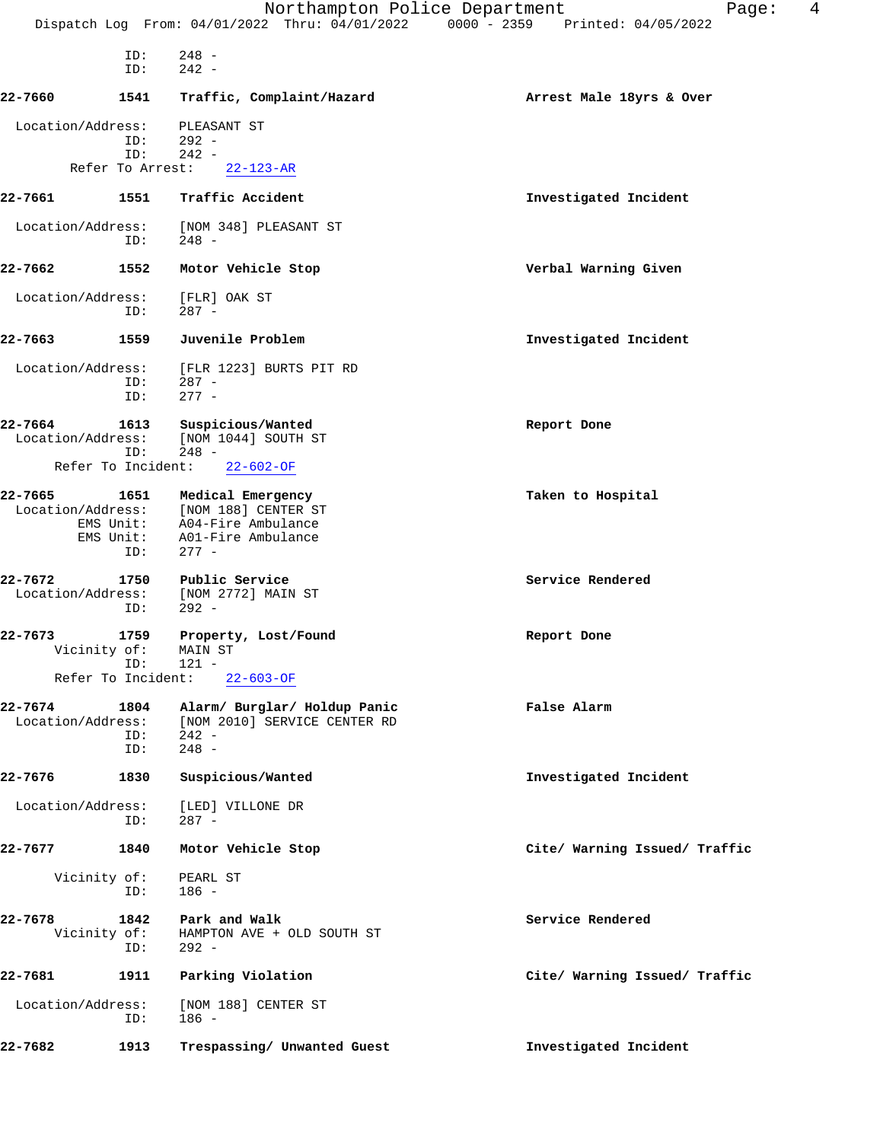|                              |                                                           | Northampton Police Department<br>Dispatch Log From: 04/01/2022 Thru: 04/01/2022 0000 - 2359 Printed: 04/05/2022                | 4<br>Page:                    |
|------------------------------|-----------------------------------------------------------|--------------------------------------------------------------------------------------------------------------------------------|-------------------------------|
|                              |                                                           |                                                                                                                                |                               |
|                              | ID:<br>ID:                                                | $248 -$<br>$242 -$                                                                                                             |                               |
| 22-7660                      | 1541                                                      | Traffic, Complaint/Hazard                                                                                                      | Arrest Male 18yrs & Over      |
| Location/Address:            | ID:<br>ID:                                                | PLEASANT ST<br>292 -<br>$242 -$                                                                                                |                               |
|                              | Refer To Arrest:                                          | $22 - 123 - AR$                                                                                                                |                               |
| 22-7661                      | 1551                                                      | Traffic Accident                                                                                                               | Investigated Incident         |
| Location/Address:            | ID:                                                       | [NOM 348] PLEASANT ST<br>248 -                                                                                                 |                               |
| 22-7662                      | 1552                                                      | Motor Vehicle Stop                                                                                                             | Verbal Warning Given          |
| Location/Address:            | ID:                                                       | [FLR] OAK ST<br>$287 -$                                                                                                        |                               |
| 22-7663                      | 1559                                                      | Juvenile Problem                                                                                                               | Investigated Incident         |
| Location/Address:            | ID:<br>ID:                                                | [FLR 1223] BURTS PIT RD<br>$287 -$<br>$277 -$                                                                                  |                               |
| 22-7664<br>Location/Address: | 1613<br>ID:<br>Refer To Incident:                         | Suspicious/Wanted<br>[NOM 1044] SOUTH ST<br>$248 -$<br>$22 - 602 - OF$                                                         | Report Done                   |
| 22-7665                      | EMS Unit:<br>ID:                                          | 1651 Medical Emergency<br>Location/Address: [NOM 188] CENTER ST<br>EMS Unit: A04-Fire Ambulance<br>A01-Fire Ambulance<br>277 - | Taken to Hospital             |
| 22-7672<br>Location/Address: | 1750<br>ID:                                               | Public Service<br>[NOM 2772] MAIN ST<br>$292 -$                                                                                | Service Rendered              |
| 22-7673                      | 1759<br>Vicinity of: MAIN ST<br>ID:<br>Refer To Incident: | Property, Lost/Found<br>121 -                                                                                                  | Report Done                   |
|                              |                                                           | $22 - 603 - OF$                                                                                                                |                               |
| 22-7674<br>Location/Address: | 1804<br>ID:<br>ID:                                        | Alarm/ Burglar/ Holdup Panic<br>[NOM 2010] SERVICE CENTER RD<br>$242 -$<br>$248 -$                                             | False Alarm                   |
| 22-7676                      | 1830                                                      | Suspicious/Wanted                                                                                                              | Investigated Incident         |
| Location/Address:            | ID:                                                       | [LED] VILLONE DR<br>287 -                                                                                                      |                               |
| 22-7677                      | 1840                                                      | Motor Vehicle Stop                                                                                                             | Cite/ Warning Issued/ Traffic |
|                              | Vicinity of:<br>ID:                                       | PEARL ST<br>$186 -$                                                                                                            |                               |
| 22-7678                      | 1842<br>Vicinity of:<br>ID:                               | Park and Walk<br>HAMPTON AVE + OLD SOUTH ST<br>$292 -$                                                                         | Service Rendered              |
| 22-7681                      | 1911                                                      | Parking Violation                                                                                                              | Cite/ Warning Issued/ Traffic |
| Location/Address:            | ID:                                                       | [NOM 188] CENTER ST<br>$186 -$                                                                                                 |                               |
| 22-7682                      | 1913                                                      | Trespassing/ Unwanted Guest                                                                                                    | Investigated Incident         |